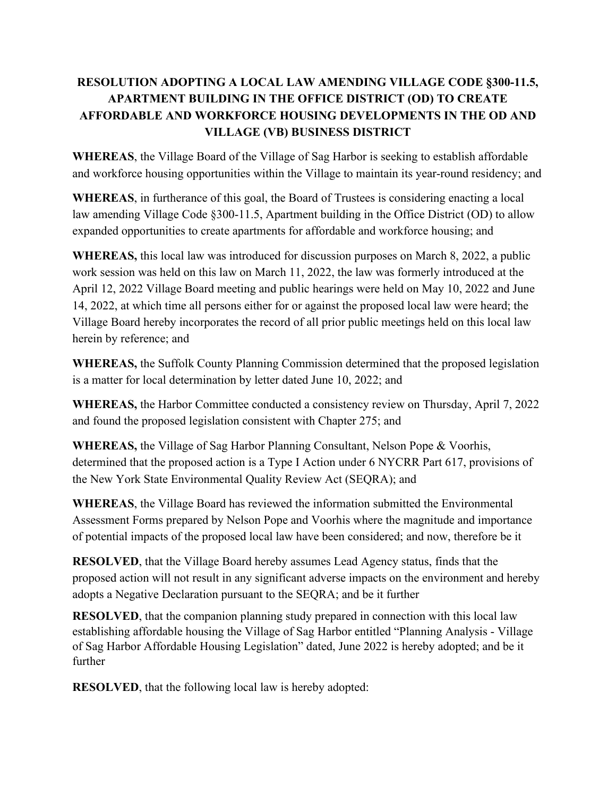# **RESOLUTION ADOPTING A LOCAL LAW AMENDING VILLAGE CODE §300-11.5, APARTMENT BUILDING IN THE OFFICE DISTRICT (OD) TO CREATE AFFORDABLE AND WORKFORCE HOUSING DEVELOPMENTS IN THE OD AND VILLAGE (VB) BUSINESS DISTRICT**

**WHEREAS**, the Village Board of the Village of Sag Harbor is seeking to establish affordable and workforce housing opportunities within the Village to maintain its year-round residency; and

**WHEREAS**, in furtherance of this goal, the Board of Trustees is considering enacting a local law amending Village Code §300-11.5, Apartment building in the Office District (OD) to allow expanded opportunities to create apartments for affordable and workforce housing; and

**WHEREAS,** this local law was introduced for discussion purposes on March 8, 2022, a public work session was held on this law on March 11, 2022, the law was formerly introduced at the April 12, 2022 Village Board meeting and public hearings were held on May 10, 2022 and June 14, 2022, at which time all persons either for or against the proposed local law were heard; the Village Board hereby incorporates the record of all prior public meetings held on this local law herein by reference; and

**WHEREAS,** the Suffolk County Planning Commission determined that the proposed legislation is a matter for local determination by letter dated June 10, 2022; and

**WHEREAS,** the Harbor Committee conducted a consistency review on Thursday, April 7, 2022 and found the proposed legislation consistent with Chapter 275; and

**WHEREAS,** the Village of Sag Harbor Planning Consultant, Nelson Pope & Voorhis, determined that the proposed action is a Type I Action under 6 NYCRR Part 617, provisions of the New York State Environmental Quality Review Act (SEQRA); and

**WHEREAS**, the Village Board has reviewed the information submitted the Environmental Assessment Forms prepared by Nelson Pope and Voorhis where the magnitude and importance of potential impacts of the proposed local law have been considered; and now, therefore be it

**RESOLVED**, that the Village Board hereby assumes Lead Agency status, finds that the proposed action will not result in any significant adverse impacts on the environment and hereby adopts a Negative Declaration pursuant to the SEQRA; and be it further

**RESOLVED**, that the companion planning study prepared in connection with this local law establishing affordable housing the Village of Sag Harbor entitled "Planning Analysis - Village of Sag Harbor Affordable Housing Legislation" dated, June 2022 is hereby adopted; and be it further

**RESOLVED**, that the following local law is hereby adopted: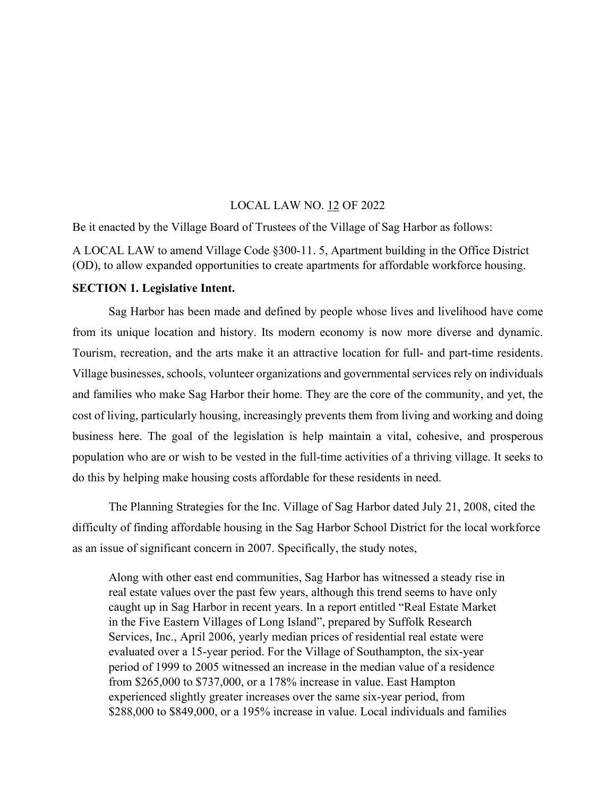#### LOCAL LAW NO. 12 OF 2022

Be it enacted by the Village Board of Trustees of the Village of Sag Harbor as follows:

A LOCAL LAW to amend Village Code §300-11. 5, Apartment building in the Office District (OD), to allow expanded opportunities to create apartments for affordable workforce housing.

#### **SECTION 1. Legislative Intent.**

Sag Harbor has been made and defined by people whose lives and livelihood have come from its unique location and history. Its modern economy is now more diverse and dynamic. Tourism, recreation, and the arts make it an attractive location for full- and part-time residents. Village businesses, schools, volunteer organizations and governmental services rely on individuals and families who make Sag Harbor their home. They are the core of the community, and yet, the cost of living, particularly housing, increasingly prevents them from living and working and doing business here. The goal of the legislation is help maintain a vital, cohesive, and prosperous population who are or wish to be vested in the full-time activities of a thriving village. It seeks to do this by helping make housing costs affordable for these residents in need.

The Planning Strategies for the Inc. Village of Sag Harbor dated July 21, 2008, cited the difficulty of finding affordable housing in the Sag Harbor School District for the local workforce as an issue of significant concern in 2007. Specifically, the study notes,

Along with other east end communities, Sag Harbor has witnessed a steady rise in real estate values over the past few years, although this trend seems to have only caught up in Sag Harbor in recent years. In a report entitled "Real Estate Market in the Five Eastern Villages of Long Island", prepared by Suffolk Research Services, Inc., April 2006, yearly median prices of residential real estate were evaluated over a 15-year period. For the Village of Southampton, the six-year period of 1999 to 2005 witnessed an increase in the median value of a residence from \$265,000 to \$737,000, or a 178% increase in value. East Hampton experienced slightly greater increases over the same six-year period, from \$288,000 to \$849,000, or a 195% increase in value. Local individuals and families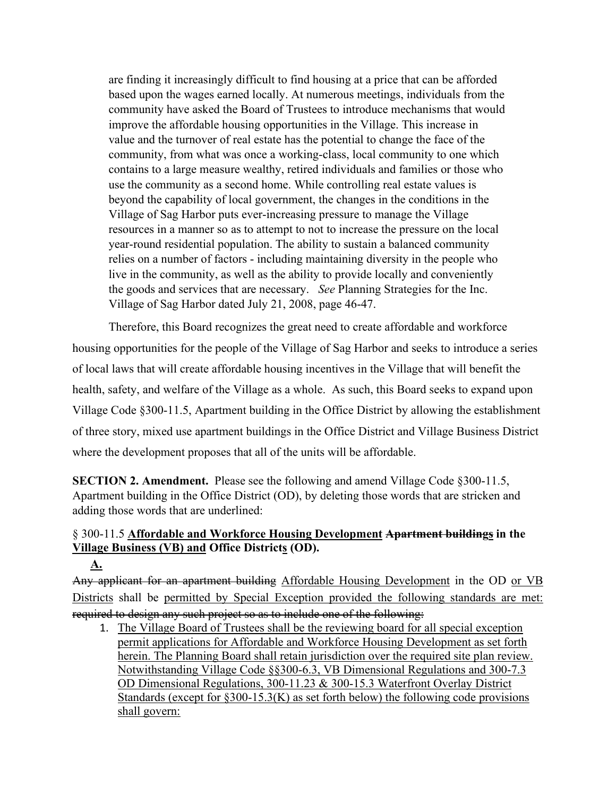are finding it increasingly difficult to find housing at a price that can be afforded based upon the wages earned locally. At numerous meetings, individuals from the community have asked the Board of Trustees to introduce mechanisms that would improve the affordable housing opportunities in the Village. This increase in value and the turnover of real estate has the potential to change the face of the community, from what was once a working-class, local community to one which contains to a large measure wealthy, retired individuals and families or those who use the community as a second home. While controlling real estate values is beyond the capability of local government, the changes in the conditions in the Village of Sag Harbor puts ever-increasing pressure to manage the Village resources in a manner so as to attempt to not to increase the pressure on the local year-round residential population. The ability to sustain a balanced community relies on a number of factors - including maintaining diversity in the people who live in the community, as well as the ability to provide locally and conveniently the goods and services that are necessary. *See* Planning Strategies for the Inc. Village of Sag Harbor dated July 21, 2008, page 46-47.

Therefore, this Board recognizes the great need to create affordable and workforce housing opportunities for the people of the Village of Sag Harbor and seeks to introduce a series of local laws that will create affordable housing incentives in the Village that will benefit the health, safety, and welfare of the Village as a whole. As such, this Board seeks to expand upon Village Code §300-11.5, Apartment building in the Office District by allowing the establishment of three story, mixed use apartment buildings in the Office District and Village Business District where the development proposes that all of the units will be affordable.

**SECTION 2. Amendment.** Please see the following and amend Village Code §300-11.5, Apartment building in the Office District (OD), by deleting those words that are stricken and adding those words that are underlined:

## § 300-11.5 **[Affordable and Workforce Housing Development](https://ecode360.com/14672193#14672193) Apartment buildings in the [Village Business \(VB\) and](https://ecode360.com/14672193#14672193) Office Districts (OD).**

## **A.**

Any applicant for an apartment building Affordable Housing Development in the OD or VB Districts shall be permitted by Special Exception provided the following standards are met: required to design any such project so as to include one of the following:

1. The Village Board of Trustees shall be the reviewing board for all special exception permit applications for Affordable and Workforce Housing Development as set forth herein. The Planning Board shall retain jurisdiction over the required site plan review. Notwithstanding Village Code §§300-6.3, VB Dimensional Regulations and 300-7.3 OD Dimensional Regulations, 300-11.23 & 300-15.3 Waterfront Overlay District Standards (except for  $\S 300-15.3(K)$ ) as set forth below) the following code provisions shall govern: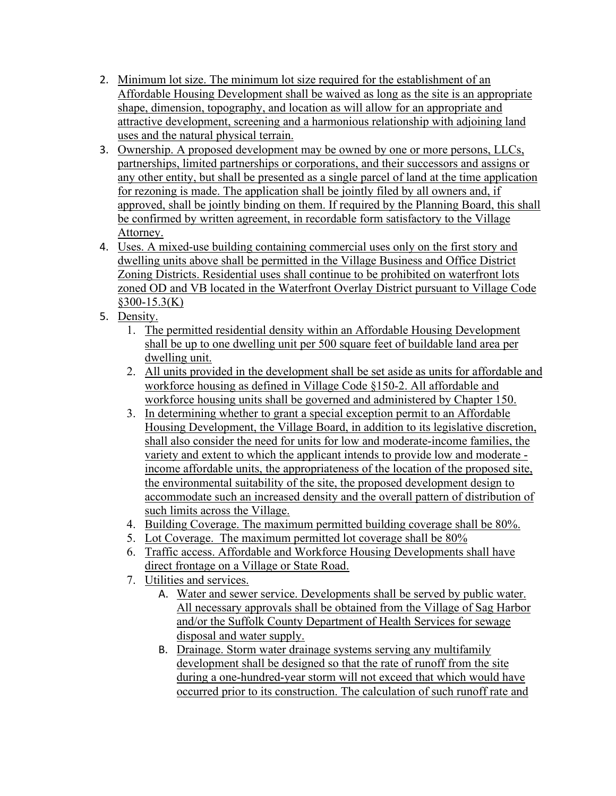- 2. Minimum lot size. The minimum lot size required for the establishment of an Affordable Housing Development shall be waived as long as the site is an appropriate shape, dimension, topography, and location as will allow for an appropriate and attractive development, screening and a harmonious relationship with adjoining land uses and the natural physical terrain.
- 3. Ownership. A proposed development may be owned by one or more persons, LLCs, partnerships, limited partnerships or corporations, and their successors and assigns or any other entity, but shall be presented as a single parcel of land at the time application for rezoning is made. The application shall be jointly filed by all owners and, if approved, shall be jointly binding on them. If required by the Planning Board, this shall be confirmed by written agreement, in recordable form satisfactory to the Village Attorney.
- 4. Uses. A mixed-use building containing commercial uses only on the first story and dwelling units above shall be permitted in the Village Business and Office District Zoning Districts. Residential uses shall continue to be prohibited on waterfront lots zoned OD and VB located in the Waterfront Overlay District pursuant to Village Code  $§300-15.3(K)$
- 5. Density.
	- 1. The permitted residential density within an Affordable Housing Development shall be up to one dwelling unit per 500 square feet of buildable land area per dwelling unit.
	- 2. All units provided in the development shall be set aside as units for affordable and workforce housing as defined in Village Code §150-2. All affordable and workforce housing units shall be governed and administered by Chapter 150.
	- 3. In determining whether to grant a special exception permit to an Affordable Housing Development, the Village Board, in addition to its legislative discretion, shall also consider the need for units for low and moderate-income families, the variety and extent to which the applicant intends to provide low and moderate income affordable units, the appropriateness of the location of the proposed site, the environmental suitability of the site, the proposed development design to accommodate such an increased density and the overall pattern of distribution of such limits across the Village.
	- 4. Building Coverage. The maximum permitted building coverage shall be 80%.
	- 5. Lot Coverage. The maximum permitted lot coverage shall be 80%
	- 6. Traffic access. Affordable and Workforce Housing Developments shall have direct frontage on a Village or State Road.
	- 7. Utilities and services.
		- A. Water and sewer service. Developments shall be served by public water. All necessary approvals shall be obtained from the Village of Sag Harbor and/or the Suffolk County Department of Health Services for sewage disposal and water supply.
		- B. Drainage. Storm water drainage systems serving any multifamily development shall be designed so that the rate of runoff from the site during a one-hundred-year storm will not exceed that which would have occurred prior to its construction. The calculation of such runoff rate and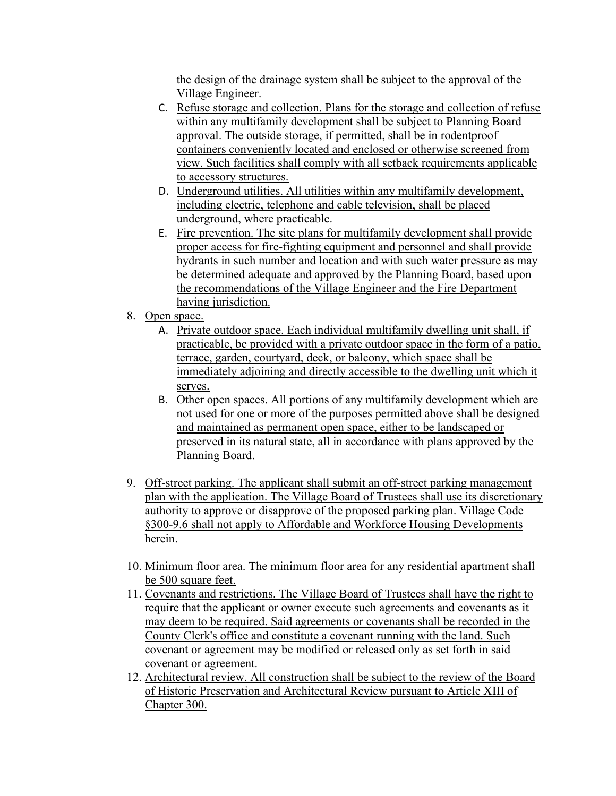the design of the drainage system shall be subject to the approval of the Village Engineer.

- C. Refuse storage and collection. Plans for the storage and collection of refuse within any multifamily development shall be subject to Planning Board approval. The outside storage, if permitted, shall be in rodentproof containers conveniently located and enclosed or otherwise screened from view. Such facilities shall comply with all setback requirements applicable to accessory structures.
- D. Underground utilities. All utilities within any multifamily development, including electric, telephone and cable television, shall be placed underground, where practicable.
- E. Fire prevention. The site plans for multifamily development shall provide proper access for fire-fighting equipment and personnel and shall provide hydrants in such number and location and with such water pressure as may be determined adequate and approved by the Planning Board, based upon the recommendations of the Village Engineer and the Fire Department having jurisdiction.
- 8. Open space.
	- A. Private outdoor space. Each individual multifamily dwelling unit shall, if practicable, be provided with a private outdoor space in the form of a patio, terrace, garden, courtyard, deck, or balcony, which space shall be immediately adjoining and directly accessible to the dwelling unit which it serves.
	- B. Other open spaces. All portions of any multifamily development which are not used for one or more of the purposes permitted above shall be designed and maintained as permanent open space, either to be landscaped or preserved in its natural state, all in accordance with plans approved by the Planning Board.
- 9. Off-street parking. The applicant shall submit an off-street parking management plan with the application. The Village Board of Trustees shall use its discretionary authority to approve or disapprove of the proposed parking plan. Village Code §300-9.6 shall not apply to Affordable and Workforce Housing Developments herein.
- 10. Minimum floor area. The minimum floor area for any residential apartment shall be 500 square feet.
- 11. Covenants and restrictions. The Village Board of Trustees shall have the right to require that the applicant or owner execute such agreements and covenants as it may deem to be required. Said agreements or covenants shall be recorded in the County Clerk's office and constitute a covenant running with the land. Such covenant or agreement may be modified or released only as set forth in said covenant or agreement.
- 12. Architectural review. All construction shall be subject to the review of the Board of Historic Preservation and Architectural Review pursuant to Article XIII of Chapter 300.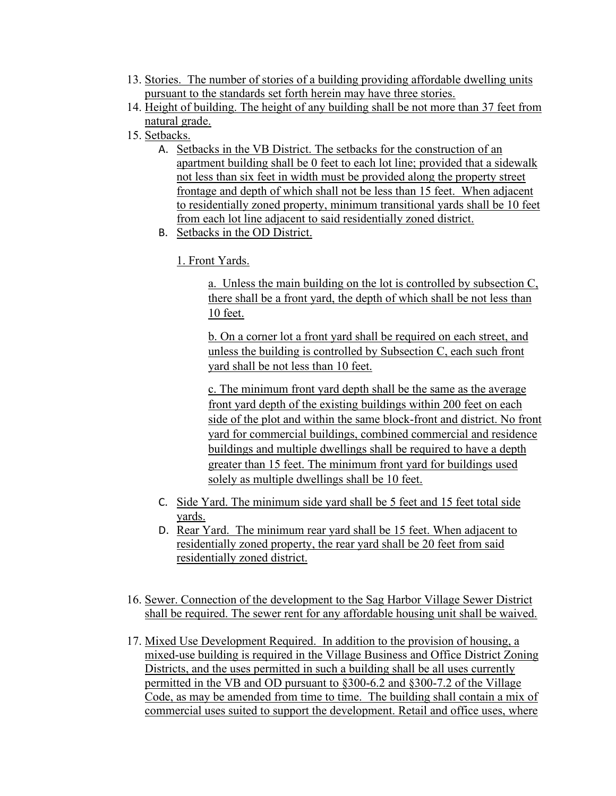- 13. Stories. The number of stories of a building providing affordable dwelling units pursuant to the standards set forth herein may have three stories.
- 14. Height of building. The height of any building shall be not more than 37 feet from natural grade.
- 15. Setbacks.
	- A. Setbacks in the VB District. The setbacks for the construction of an apartment building shall be 0 feet to each lot line; provided that a sidewalk not less than six feet in width must be provided along the property street frontage and depth of which shall not be less than 15 feet. When adjacent to residentially zoned property, minimum transitional yards shall be 10 feet from each lot line adjacent to said residentially zoned district.
	- B. Setbacks in the OD District.

1. Front Yards.

a. Unless the main building on the lot is controlled by subsection C, there shall be a front yard, the depth of which shall be not less than 10 feet.

b. On a corner lot a front yard shall be required on each street, and unless the building is controlled by Subsection C, each such front yard shall be not less than 10 feet.

c. The minimum front yard depth shall be the same as the average front yard depth of the existing buildings within 200 feet on each side of the plot and within the same block-front and district. No front yard for commercial buildings, combined commercial and residence buildings and multiple dwellings shall be required to have a depth greater than 15 feet. The minimum front yard for buildings used solely as multiple dwellings shall be 10 feet.

- C. Side Yard. The minimum side yard shall be 5 feet and 15 feet total side yards.
- D. Rear Yard. The minimum rear yard shall be 15 feet. When adjacent to residentially zoned property, the rear yard shall be 20 feet from said residentially zoned district.
- 16. Sewer. Connection of the development to the Sag Harbor Village Sewer District shall be required. The sewer rent for any affordable housing unit shall be waived.
- 17. Mixed Use Development Required. In addition to the provision of housing, a mixed-use building is required in the Village Business and Office District Zoning Districts, and the uses permitted in such a building shall be all uses currently permitted in the VB and OD pursuant to §300-6.2 and §300-7.2 of the Village Code, as may be amended from time to time. The building shall contain a mix of commercial uses suited to support the development. Retail and office uses, where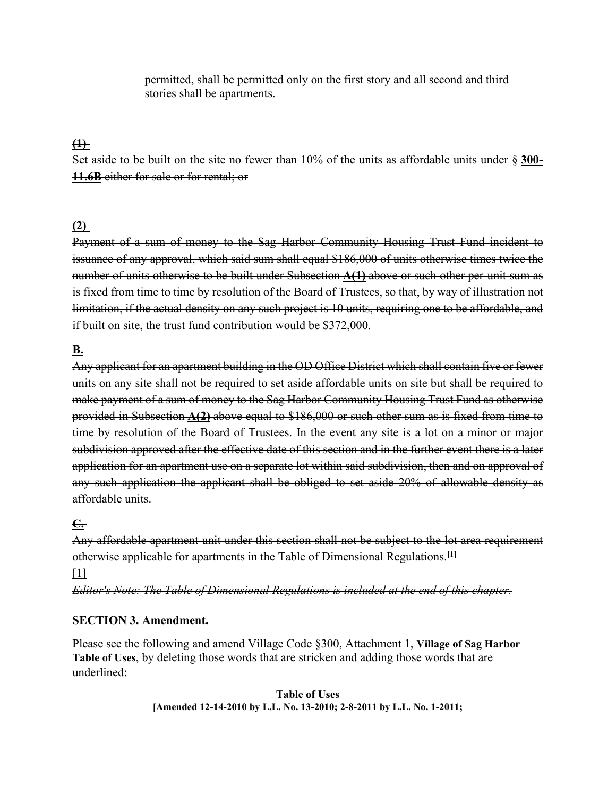## permitted, shall be permitted only on the first story and all second and third stories shall be apartments.

### **(1)**

Set aside to be built on the site no fewer than 10% of the units as affordable units under § **300- 11.6B** either for sale or for rental; or

### **(2)**

Payment of a sum of money to the Sag Harbor Community Housing Trust Fund incident to issuance of any approval, which said sum shall equal \$186,000 of units otherwise times twice the number of units otherwise to be built under Subsection **A(1)** above or such other per-unit sum as is fixed from time to time by resolution of the Board of Trustees, so that, by way of illustration not limitation, if the actual density on any such project is 10 units, requiring one to be affordable, and if built on site, the trust fund contribution would be \$372,000.

## **B.**

Any applicant for an apartment building in the OD Office District which shall contain five or fewer units on any site shall not be required to set aside affordable units on site but shall be required to make payment of a sum of money to the Sag Harbor Community Housing Trust Fund as otherwise provided in Subsection **A(2)** above equal to \$186,000 or such other sum as is fixed from time to time by resolution of the Board of Trustees. In the event any site is a lot on a minor or major subdivision approved after the effective date of this section and in the further event there is a later application for an apartment use on a separate lot within said subdivision, then and on approval of any such application the applicant shall be obliged to set aside 20% of allowable density as affordable units.

## **C.**

Any affordable apartment unit under this section shall not be subject to the lot area requirement otherwise applicable for apartments in the Table of Dimensional Regulations.**[1]**

### [1]

*Editor's Note: The Table of Dimensional Regulations is included at the end of this chapter.* 

## **SECTION 3. Amendment.**

Please see the following and amend Village Code §300, Attachment 1, **Village of Sag Harbor Table of Uses**, by deleting those words that are stricken and adding those words that are underlined:

#### **Table of Uses [Amended 12-14-2010 by L.L. No. 13-2010; 2-8-2011 by L.L. No. 1-2011;**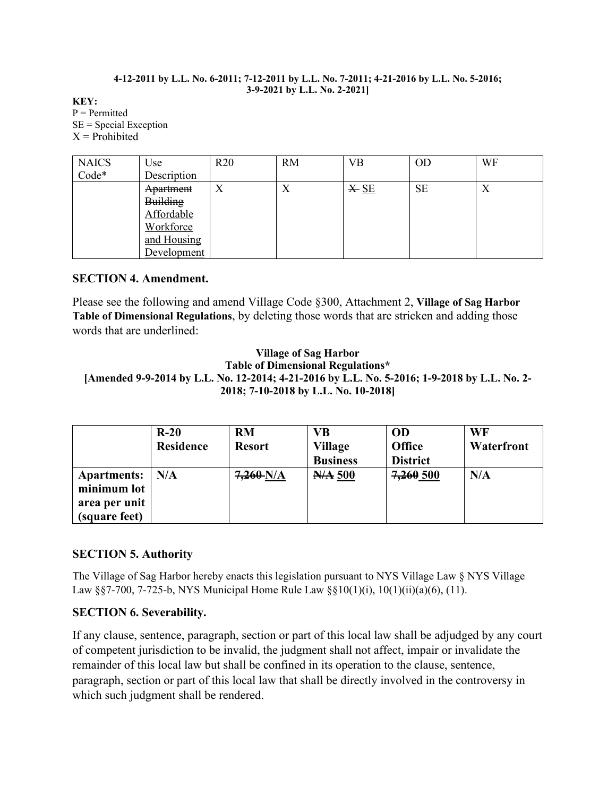#### **4-12-2011 by L.L. No. 6-2011; 7-12-2011 by L.L. No. 7-2011; 4-21-2016 by L.L. No. 5-2016; 3-9-2021 by L.L. No. 2-2021]**

**KEY:**  $P = Permitted$ SE = Special Exception  $X =$ Prohibited

| <b>NAICS</b> | Use              | R20                      | <b>RM</b>                 | <b>VB</b> | <b>OD</b> | WF                        |
|--------------|------------------|--------------------------|---------------------------|-----------|-----------|---------------------------|
| Code*        | Description      |                          |                           |           |           |                           |
|              | <b>Apartment</b> | $\mathbf v$<br>$\Lambda$ | $\mathbf{v}$<br>$\Lambda$ | XSE       | <b>SE</b> | $\mathbf{v}$<br>$\Lambda$ |
|              | <b>Building</b>  |                          |                           |           |           |                           |
|              | Affordable       |                          |                           |           |           |                           |
|              | Workforce        |                          |                           |           |           |                           |
|              | and Housing      |                          |                           |           |           |                           |
|              | Development      |                          |                           |           |           |                           |

### **SECTION 4. Amendment.**

Please see the following and amend Village Code §300, Attachment 2, **Village of Sag Harbor Table of Dimensional Regulations**, by deleting those words that are stricken and adding those words that are underlined:

### **Village of Sag Harbor Table of Dimensional Regulations\* [Amended 9-9-2014 by L.L. No. 12-2014; 4-21-2016 by L.L. No. 5-2016; 1-9-2018 by L.L. No. 2- 2018; 7-10-2018 by L.L. No. 10-2018]**

|                                                                     | $R-20$<br><b>Residence</b> | <b>RM</b><br><b>Resort</b> | VВ<br><b>Village</b><br><b>Business</b> | OD<br>Office<br><b>District</b> | <b>WF</b><br>Waterfront |
|---------------------------------------------------------------------|----------------------------|----------------------------|-----------------------------------------|---------------------------------|-------------------------|
| <b>Apartments:</b><br>minimum lot<br>area per unit<br>(square feet) | N/A                        | $7,260$ N/A                | <b>N/A 500</b>                          | 7,260 500                       | N/A                     |

## **SECTION 5. Authority**

The Village of Sag Harbor hereby enacts this legislation pursuant to NYS Village Law § NYS Village Law §§7-700, 7-725-b, NYS Municipal Home Rule Law §§10(1)(i), 10(1)(ii)(a)(6), (11).

## **SECTION 6. Severability.**

If any clause, sentence, paragraph, section or part of this local law shall be adjudged by any court of competent jurisdiction to be invalid, the judgment shall not affect, impair or invalidate the remainder of this local law but shall be confined in its operation to the clause, sentence, paragraph, section or part of this local law that shall be directly involved in the controversy in which such judgment shall be rendered.